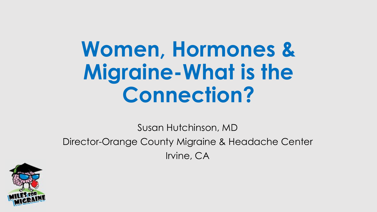## **Women, Hormones & Migraine-What is the Connection?**

Susan Hutchinson, MD Director-Orange County Migraine & Headache Center Irvine, CA

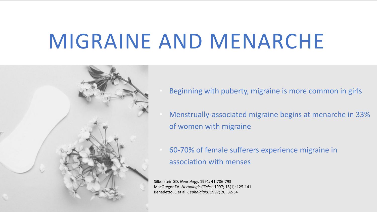## MIGRAINE AND MENARCHE



- Beginning with puberty, migraine is more common in girls
- Menstrually-associated migraine begins at menarche in 33% of women with migraine
- 60-70% of female sufferers experience migraine in association with menses

Silberstein SD. *Neurology.* 1991; 41:786-793 MacGregor EA. *Neruologic Clinics*. 1997; 15(1): 125-141 Benedetto, C et al. *Cephalalgia.* 1997; 20: 32-34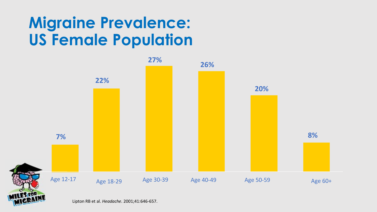### **Migraine Prevalence: US Female Population**



Lipton RB et al. *Headache*. 2001;41:646-657.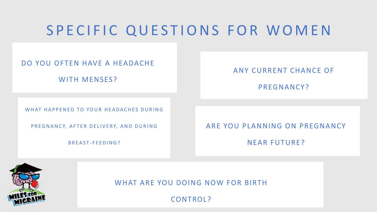### SPECIFIC QUESTIONS FOR WOMEN

#### DO YOU OFTEN HAVE A HEADACHE

WITH MENSES?

ANY CURRENT CHANCE OF

PREGNANCY?

WHAT HAPPENED TO YOUR HEADACHES DURING

PREGNANCY, AFTER DELIVERY, AND DURING

BREAST - FEEDING?

ARE YOU PLANNING ON PREGNANCY

NEAR FUTURE?



WHAT ARE YOU DOING NOW FOR BIRTH

CONTROL?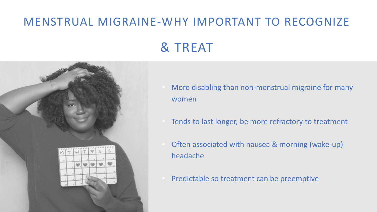### MENSTRUAL MIGRAINE-WHY IMPORTANT TO RECOGNIZE

#### & TREAT



- More disabling than non-menstrual migraine for many women
- Tends to last longer, be more refractory to treatment
- Often associated with nausea & morning (wake-up) headache
- Predictable so treatment can be preemptive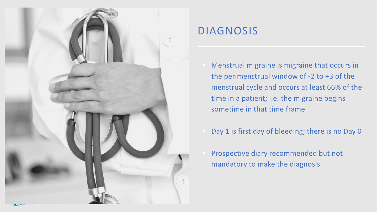

#### DIAGNOSIS

- Menstrual migraine is migraine that occurs in the perimenstrual window of -2 to +3 of the menstrual cycle and occurs at least 66% of the time in a patient; i.e. the migraine begins sometime in that time frame
- Day 1 is first day of bleeding; there is no Day 0
- Prospective diary recommended but not mandatory to make the diagnosis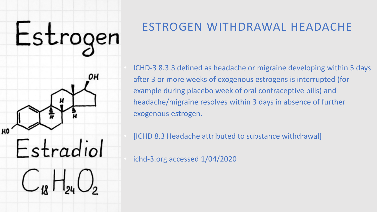

#### ESTROGEN WITHDRAWAL HEADACHE

• ICHD-3 8.3.3 defined as headache or migraine developing within 5 days after 3 or more weeks of exogenous estrogens is interrupted (for example during placebo week of oral contraceptive pills) and headache/migraine resolves within 3 days in absence of further exogenous estrogen.

• [ICHD 8.3 Headache attributed to substance withdrawal]

• ichd-3.org accessed 1/04/2020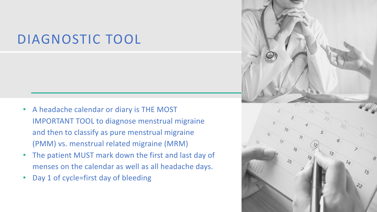#### DIAGNOSTIC TOOL

- A headache calendar or diary is THE MOST IMPORTANT TOOL to diagnose menstrual migraine and then to classify as pure menstrual migraine (PMM) vs. menstrual related migraine (MRM)
- The patient MUST mark down the first and last day of menses on the calendar as well as all headache days.
- Day 1 of cycle=first day of bleeding

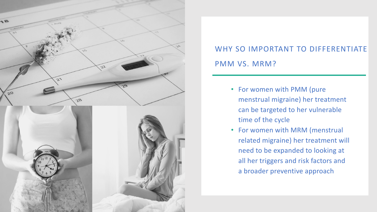

#### WHY SO IMPORTANT TO DIFFERENTIATE PMM VS. MRM?

- For women with PMM (pure menstrual migraine) her treatment can be targeted to her vulnerable time of the cycle
- For women with MRM (menstrual related migraine) her treatment will need to be expanded to looking at all her triggers and risk factors and a broader preventive approach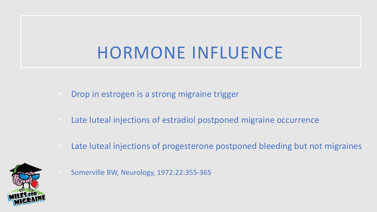## HORMONE INFLUENCE

- Drop in estrogen is a strong migraine trigger
- Late luteal injections of estradiol postponed migraine occurrence
- Late luteal injections of progesterone postponed bleeding but not migraines



• Somerville BW, Neurology, 1972:22:355-365.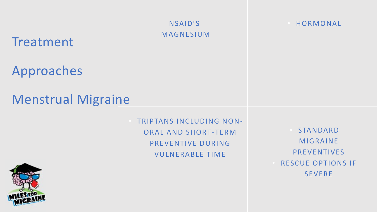NSAID'S MAGNESIUM

#### Treatment

Approaches

#### Menstrual Migraine

• TRIPTANS INCLUDING NON-ORAL AND SHORT-TERM PREVENTIVE DURING VULNERABLE TIME

**STANDARD** MIGRAINE PREVENTIVES RESCUE OPTIONS IF SEVERE

**HORMONAL** 

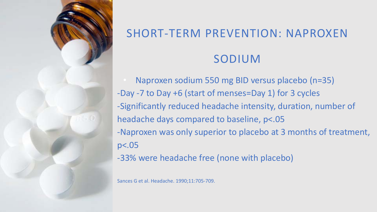

## SHORT-TERM PREVENTION: NAPROXEN SODIUM

• Naproxen sodium 550 mg BID versus placebo (n=35) -Day -7 to Day +6 (start of menses=Day 1) for 3 cycles -Significantly reduced headache intensity, duration, number of headache days compared to baseline, p<.05 -Naproxen was only superior to placebo at 3 months of treatment, p<.05 -33% were headache free (none with placebo)

Sances G et al. Headache. 1990;11:705-709.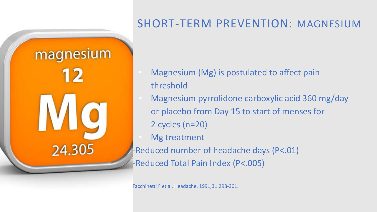

#### SHORT-TERM PREVENTION: MAGNESIUM

- Magnesium (Mg) is postulated to affect pain threshold
- Magnesium pyrrolidone carboxylic acid 360 mg/day or placebo from Day 15 to start of menses for 2 cycles (n=20)
- **Mg treatment**
- -Reduced number of headache days (P<.01)
- -Reduced Total Pain Index (P<.005)

Facchinetti F et al. Headache. 1991;31:298-301.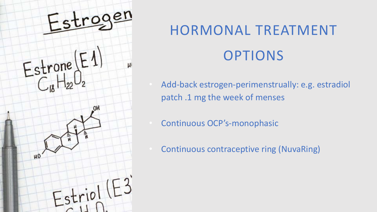

## HORMONAL TREATMENT OPTIONS

- Add-back estrogen-perimenstrually: e.g. estradiol patch .1 mg the week of menses
- Continuous OCP's-monophasic
- Continuous contraceptive ring (NuvaRing)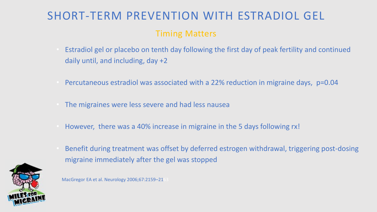### SHORT-TERM PREVENTION WITH ESTRADIOL GEL

#### Timing Matters

- Estradiol gel or placebo on tenth day following the first day of peak fertility and continued daily until, and including, day +2
- Percutaneous estradiol was associated with a 22% reduction in migraine days, p=0.04
- The migraines were less severe and had less nausea
- However, there was a 40% increase in migraine in the 5 days following rx!
- Benefit during treatment was offset by deferred estrogen withdrawal, triggering post-dosing migraine immediately after the gel was stopped



MacGregor EA et al. Neurology 2006;67:2159–2163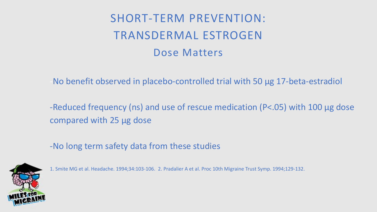#### SHORT-TERM PREVENTION: TRANSDERMAL ESTROGEN Dose Matters

-No benefit observed in placebo-controlled trial with 50 µg 17-beta-estradiol

-Reduced frequency (ns) and use of rescue medication (P<.05) with 100 µg dose compared with 25 µg dose

-No long term safety data from these studies



1. Smite MG et al. Headache. 1994;34:103-106. 2. Pradalier A et al. Proc 10th Migraine Trust Symp. 1994;129-132.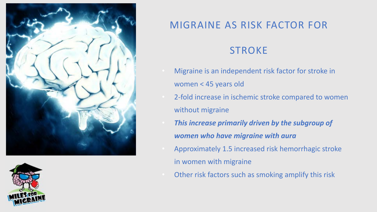



#### MIGRAINE AS RISK FACTOR FOR

#### **STROKE**

- Migraine is an independent risk factor for stroke in women < 45 years old
- 2-fold increase in ischemic stroke compared to women without migraine
- *This increase primarily driven by the subgroup of women who have migraine with aura*
- Approximately 1.5 increased risk hemorrhagic stroke in women with migraine
- Other risk factors such as smoking amplify this risk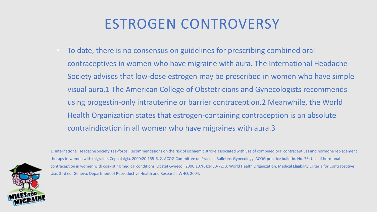### ESTROGEN CONTROVERSY

• To date, there is no consensus on guidelines for prescribing combined oral contraceptives in women who have migraine with aura. The International Headache Society advises that low-dose estrogen may be prescribed in women who have simple visual aura.1 The American College of Obstetricians and Gynecologists recommends using progestin-only intrauterine or barrier contraception.2 Meanwhile, the World Health Organization states that estrogen-containing contraception is an absolute contraindication in all women who have migraines with aura.3



1. International Headache Society Taskforce. Recommendations on the risk of ischaemic stroke associated with use of combined oral contraceptives and hormone replacement therapy in women with migraine. Cephalalgia. 2000;20:155-6. 2. ACOG Committee on Practice Bulletins-Gynecology. ACOG practice bulletin. No. 73: Use of hormonal contraception in women with coexisting medical conditions. Obstet Gynecol. 2006;107(6):1453-72. 3. World Health Organization. Medical Eligibility Criteria for Contraceptive Use. 3 rd ed. Geneva: Department of Reproductive Health and Research, WHO; 2004.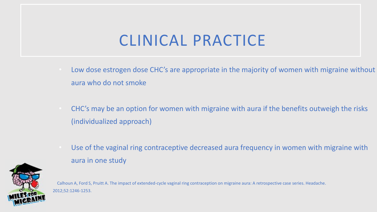### CLINICAL PRACTICE

- Low dose estrogen dose CHC's are appropriate in the majority of women with migraine without aura who do not smoke
- CHC's may be an option for women with migraine with aura if the benefits outweigh the risks (individualized approach)
- Use of the vaginal ring contraceptive decreased aura frequency in women with migraine with aura in one study

Calhoun A, Ford S, Pruitt A. The impact of extended-cycle vaginal ring contraception on migraine aura: A retrospective case series. Headache. 2012;52:1246-1253.

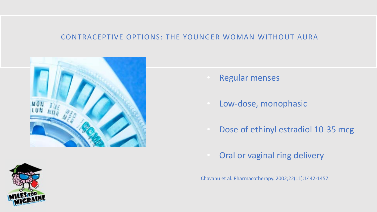#### CONTRACEPTIVE OPTIONS: THE YOUNGER WOMAN WITHOUT AURA





- Regular menses
- Low-dose, monophasic
- Dose of ethinyl estradiol 10-35 mcg
- Oral or vaginal ring delivery

Chavanu et al. Pharmacotherapy. 2002;22(11):1442-1457.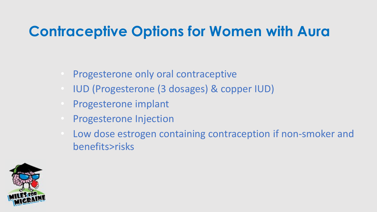### **Contraceptive Options for Women with Aura**

- Progesterone only oral contraceptive
- IUD (Progesterone (3 dosages) & copper IUD)
- Progesterone implant
- Progesterone Injection
- Low dose estrogen containing contraception if non-smoker and benefits>risks

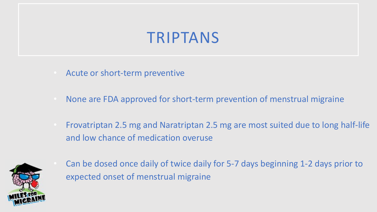### TRIPTANS

- Acute or short-term preventive
- None are FDA approved for short-term prevention of menstrual migraine
- Frovatriptan 2.5 mg and Naratriptan 2.5 mg are most suited due to long half-life and low chance of medication overuse



• Can be dosed once daily of twice daily for 5-7 days beginning 1-2 days prior to expected onset of menstrual migraine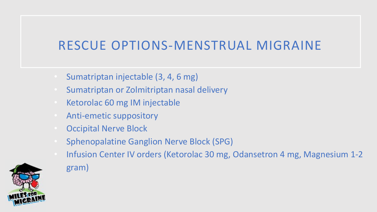#### RESCUE OPTIONS-MENSTRUAL MIGRAINE

- Sumatriptan injectable (3, 4, 6 mg)
- Sumatriptan or Zolmitriptan nasal delivery
- Ketorolac 60 mg IM injectable
- Anti-emetic suppository
- Occipital Nerve Block
- Sphenopalatine Ganglion Nerve Block (SPG)
- Infusion Center IV orders (Ketorolac 30 mg, Odansetron 4 mg, Magnesium 1-2 gram)

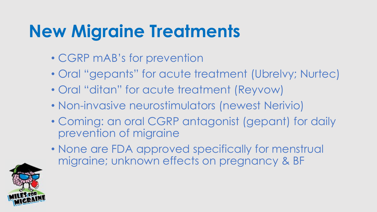## **New Migraine Treatments**

- CGRP mAB's for prevention
- Oral "gepants" for acute treatment (Ubrelvy; Nurtec)
- Oral "ditan" for acute treatment (Reyvow)
- Non-invasive neurostimulators (newest Nerivio)
- Coming: an oral CGRP antagonist (gepant) for daily prevention of migraine
- None are FDA approved specifically for menstrual migraine; unknown effects on pregnancy & BF

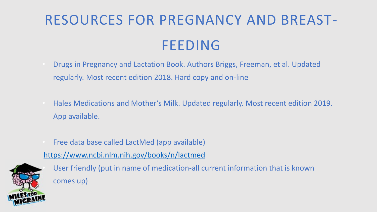## RESOURCES FOR PREGNANCY AND BREAST-FEEDING

- Drugs in Pregnancy and Lactation Book. Authors Briggs, Freeman, et al. Updated regularly. Most recent edition 2018. Hard copy and on-line
- Hales Medications and Mother's Milk. Updated regularly. Most recent edition 2019. App available.
- Free data base called LactMed (app available)

https://www.ncbi.nlm.nih.gov/books/n/lactmed



• User friendly (put in name of medication-all current information that is known comes up)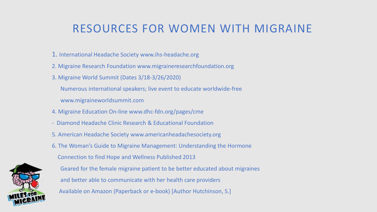#### RESOURCES FOR WOMEN WITH MIGRAINE

- 1. International Headache Society www.ihs-headache.org
- 2. Migraine Research Foundation www.migraineresearchfoundation.org
- 3. Migraine World Summit (Dates 3/18-3/26/2020)

Numerous international speakers; live event to educate worldwide-free

www.migraineworldsummit.com

- 4. Migraine Education On-line www.dhc-fdn.org/pages/cme
- Diamond Headache Clinic Research & Educational Foundation
- 5. American Headache Society www.americanheadachesociety.org
- 6. The Woman's Guide to Migraine Management: Understanding the Hormone





- Geared for the female migraine patient to be better educated about migraines and better able to communicate with her health care providers
- Available on Amazon (Paperback or e-book) [Author Hutchinson, S.]